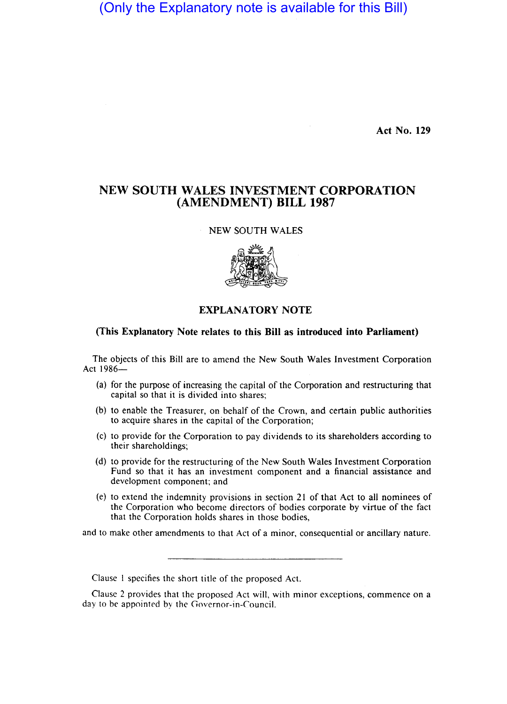(Only the Explanatory note is available for this Bill)

Act No. 129

## NEW SOUTH WALES INVESTMENT CORPORATION (AMENDMENT) BILL 1987

NEW SOUTH WALES



## EXPLANATORY NOTE

## (This Explanatory Note relates to this Bill as introduced into Parliament)

The objects of this Bill are to amend the New South Wales Investment Corporation Act 1986-

- (a) for the purpose of increasing the capital of the Corporation and restructuring that capital so that it is divided into shares;
- (b) to enable the Treasurer, on behalf of the Crown, and certain public authorities to acquire shares in the capital of the Corporation;
- (c) to provide for the Corporation to pay dividends to its shareholders according to their shareholdings;
- (d) to provide for the restructuring of the New South Wales Investment Corporation Fund so that it has an investment component and a financial assistance and development component; and
- (e) to extend the indemnity provisions in section 21 of that Act to all nominees of the Corporation who become directors of bodies corporate by virtue of the fact that the Corporation holds shares in those bodies,

and to make other amendments to that Act of a minor, consequential or ancillary nature.

Clause 1 specifies the short title of the proposed Act.

Clause 2 provides that the proposed Act will, with minor exceptions, commence on a day to be appointed by the Governor-in-Council.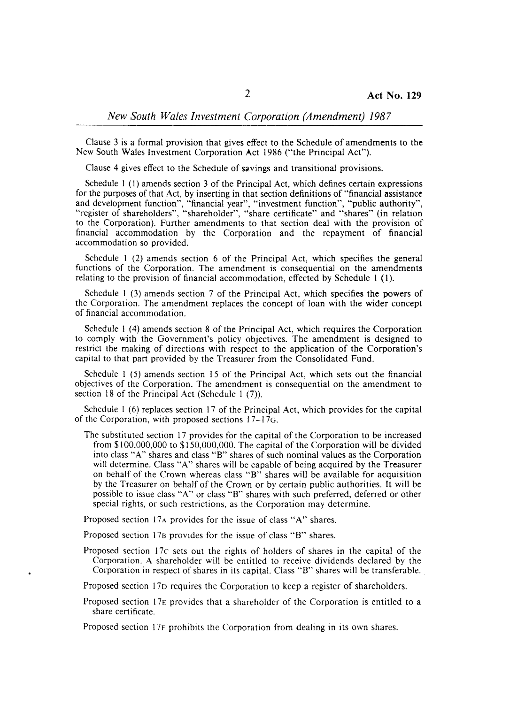Clause 3 is a formal provision that gives effect to the Schedule of amendments to the New South Wales Investment Corporation Act 1986 ("the Principal Act").

Clause 4 gives effect to the Schedule of savings and transitional provisions.

Schedule I (I) amends section 3 of the Principal Act, which defines certain expressions for the purposes of that Act, by inserting in that section definitions of "financial assistance and development function", "financial year", "investment function", "public authority", "register of shareholders", "shareholder", "share certificate" and "shares" (in relation to the Corporation). Further amendments to that section deal with the provision of financial accommodation by the Corporation and the repayment of financial accommodation so provided.

Schedule I (2) amends section 6 of the Principal Act, which specifies the general functions of the Corporation. The amendment is consequential on the amendments relating to the provision of financial accommodation, effected by Schedule I (I).

Schedule  $1$  (3) amends section 7 of the Principal Act, which specifies the powers of the Corporation. The amendment replaces the concept of loan with the wider concept of financial accommodation.

Schedule I (4) amends section 8 of the Principal Act, which requires the Corporation to comply with the Government's policy objectives. The amendment is designed to restrict the making of directions with respect to the application of the Corporation's capital to that part provided by the Treasurer from the Consolidated Fund.

Schedule I (5) amends section 15 of the Principal Act, which sets out the financial objectives of the Corporation. The amendment is consequential on the amendment to section 18 of the Principal Act (Schedule 1 (7)).

Schedule I (6) replaces section 17 of the Principal Act, which provides for the capital of the Corporation, with proposed sections 17-·17G.

The substituted section 17 provides for the capital of the Corporation to be increased from \$100,000,000 to \$150,000,000. The capital of the Corporation will be divided into class "A" shares and class "8" shares of such nominal values as the Corporation will determine. Class "A" shares will be capable of being acquired by the Treasurer on behalf of the Crown whereas class "B" shares will be available for acquisition by the Treasurer on behalf of the Crown or by certain public authorities. It will be possible to issue class "A" or class "8" shares with such preferred, deferred or other special rights, or such restrictions, as the Corporation may determine.

Proposed section 17A provides for the issue of class "A" shares.

Proposed section 178 provides for the issue of class "8" shares.

Proposed section 17c sets out the rights of holders of shares in the capital of the Corporation. A shareholder will be entitled to receive dividends declared by the Corporation in respect of shares in its capital. Class "8" shares will be transferable.

Proposed section 17D requires the Corporation to keep a register of shareholders.

Proposed section 17E provides that a shareholder of the Corporation is entitled to a share certificate.

Proposed section 17F prohibits the Corporation from dealing in its own shares.